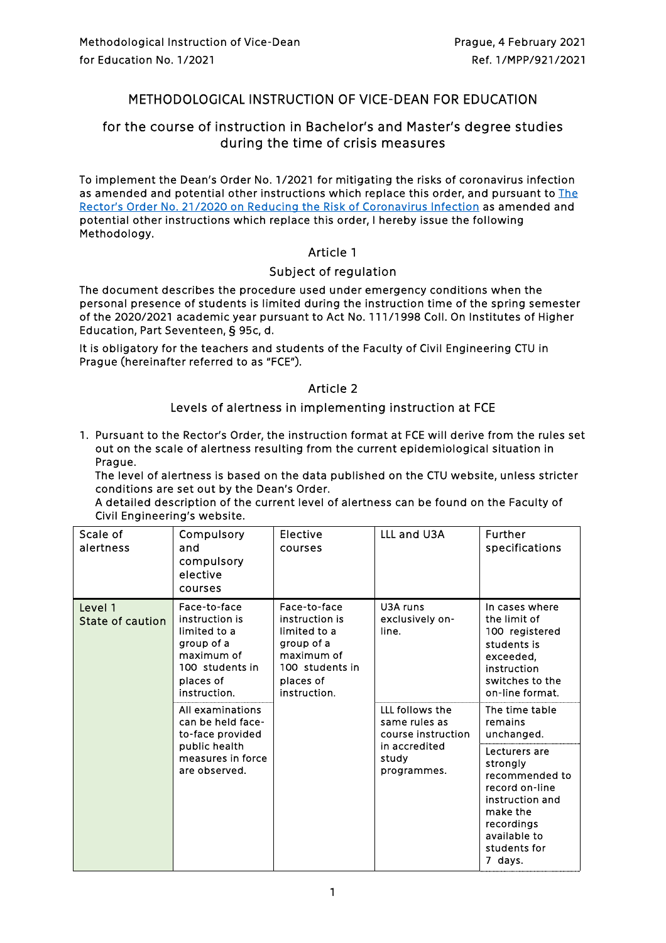# METHODOLOGICAL INSTRUCTION OF VICE-DEAN FOR EDUCATION

# for the course of instruction in Bachelor's and Master's degree studies during the time of crisis measures

To implement the Dean's Order No. 1/2021 for mitigating the risks of coronavirus infection as amended and potential other instructions which replace this order, and pursuant to The [Rector's Order No. 21/2020 on Reducing the Risk of Coronavirus Infection](https://www.fsv.cvut.cz/en/legislat/pr212020e.pdf) as amended and potential other instructions which replace this order, I hereby issue the following Methodology.

### Article 1

### Subject of regulation

The document describes the procedure used under emergency conditions when the personal presence of students is limited during the instruction time of the spring semester of the 2020/2021 academic year pursuant to Act No. 111/1998 Coll. On Institutes of Higher Education, Part Seventeen, § 95c, d.

It is obligatory for the teachers and students of the Faculty of Civil Engineering CTU in Prague (hereinafter referred to as "FCE").

### Article 2

### Levels of alertness in implementing instruction at FCE

1. Pursuant to the Rector's Order, the instruction format at FCE will derive from the rules set out on the scale of alertness resulting from the current epidemiological situation in Prague.

The level of alertness is based on the data published on the CTU website, unless stricter conditions are set out by the Dean's Order.

A detailed description of the current level of alertness can be found on the Faculty of Civil Engineering's website.

| Scale of<br>alertness       | Compulsory<br>and<br>compulsory<br>elective<br>courses                                                                     | Elective<br>courses                                                                                                        | LLL and U3A                                            | Further<br>specifications                                                                                                                             |
|-----------------------------|----------------------------------------------------------------------------------------------------------------------------|----------------------------------------------------------------------------------------------------------------------------|--------------------------------------------------------|-------------------------------------------------------------------------------------------------------------------------------------------------------|
| Level 1<br>State of caution | Face-to-face<br>instruction is<br>limited to a<br>group of a<br>maximum of<br>100 students in<br>places of<br>instruction. | Face-to-face<br>instruction is<br>limited to a<br>group of a<br>maximum of<br>100 students in<br>places of<br>instruction. | U3A runs<br>exclusively on-<br>line.                   | In cases where<br>the limit of<br>100 registered<br>students is<br>exceeded,<br>instruction<br>switches to the<br>on-line format.                     |
|                             | All examinations<br>can be held face-<br>to-face provided                                                                  |                                                                                                                            | LLL follows the<br>same rules as<br>course instruction | The time table<br>remains<br>unchanged.                                                                                                               |
|                             | public health<br>measures in force<br>are observed.                                                                        |                                                                                                                            | in accredited<br>study<br>programmes.                  | Lecturers are<br>strongly<br>recommended to<br>record on-line<br>instruction and<br>make the<br>recordings<br>available to<br>students for<br>7 days. |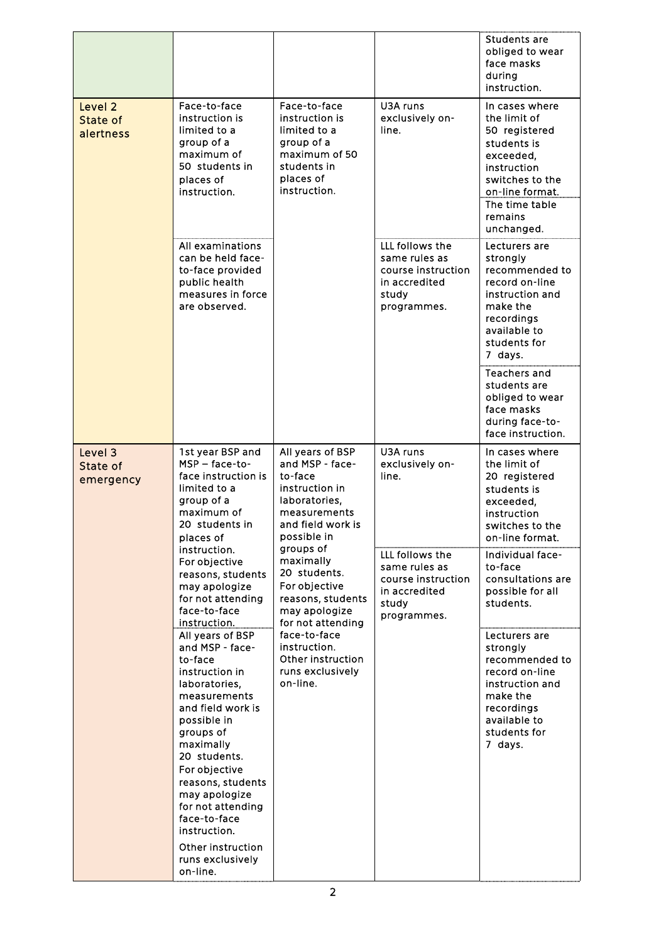|                                  |                                                                                                                                                                                                                                                                                                                  |                                                                                                                                       |                                                                                                 | Students are<br>obliged to wear<br>face masks<br>during<br>instruction.                                                                                                     |
|----------------------------------|------------------------------------------------------------------------------------------------------------------------------------------------------------------------------------------------------------------------------------------------------------------------------------------------------------------|---------------------------------------------------------------------------------------------------------------------------------------|-------------------------------------------------------------------------------------------------|-----------------------------------------------------------------------------------------------------------------------------------------------------------------------------|
| Level 2<br>State of<br>alertness | Face-to-face<br>instruction is<br>limited to a<br>group of a<br>maximum of<br>50 students in<br>places of<br>instruction.                                                                                                                                                                                        | Face-to-face<br>instruction is<br>limited to a<br>group of a<br>maximum of 50<br>students in<br>places of<br>instruction.             | U3A runs<br>exclusively on-<br>line.                                                            | In cases where<br>the limit of<br>50 registered<br>students is<br>exceeded,<br>instruction<br>switches to the<br>on-line format.<br>The time table<br>remains<br>unchanged. |
|                                  | All examinations<br>can be held face-<br>to-face provided<br>public health<br>measures in force<br>are observed.                                                                                                                                                                                                 |                                                                                                                                       | LLL follows the<br>same rules as<br>course instruction<br>in accredited<br>study<br>programmes. | Lecturers are<br>strongly<br>recommended to<br>record on-line<br>instruction and<br>make the<br>recordings<br>available to<br>students for<br>7 days.                       |
|                                  |                                                                                                                                                                                                                                                                                                                  |                                                                                                                                       |                                                                                                 | <b>Teachers and</b><br>students are<br>obliged to wear<br>face masks<br>during face-to-<br>face instruction.                                                                |
| Level 3<br>State of<br>emergency | 1st year BSP and<br>MSP - face-to-<br>face instruction is<br>limited to a<br>group of a<br>maximum of<br>20 students in<br>places of                                                                                                                                                                             | All years of BSP<br>and MSP - face-<br>to-face<br>instruction in<br>laboratories,<br>measurements<br>and field work is<br>possible in | U3A runs<br>exclusively on-<br>line.                                                            | In cases where<br>the limit of<br>20 registered<br>students is<br>exceeded,<br>instruction<br>switches to the<br>on-line format.                                            |
|                                  | instruction.<br>For objective<br>reasons, students<br>may apologize<br>for not attending<br>face-to-face<br>instruction.                                                                                                                                                                                         | groups of<br>maximally<br>20 students.<br>For objective<br>reasons, students<br>may apologize<br>for not attending                    | LLL follows the<br>same rules as<br>course instruction<br>in accredited<br>study<br>programmes. | Individual face-<br>to-face<br>consultations are<br>possible for all<br>students.                                                                                           |
|                                  | All years of BSP<br>and MSP - face-<br>to-face<br>instruction in<br>laboratories,<br>measurements<br>and field work is<br>possible in<br>groups of<br>maximally<br>20 students.<br>For objective<br>reasons, students<br>may apologize<br>for not attending<br>face-to-face<br>instruction.<br>Other instruction | face-to-face<br>instruction.<br>Other instruction<br>runs exclusively<br>on-line.                                                     |                                                                                                 | Lecturers are<br>strongly<br>recommended to<br>record on-line<br>instruction and<br>make the<br>recordings<br>available to<br>students for<br>7 days.                       |
|                                  | runs exclusively<br>on-line.                                                                                                                                                                                                                                                                                     |                                                                                                                                       |                                                                                                 |                                                                                                                                                                             |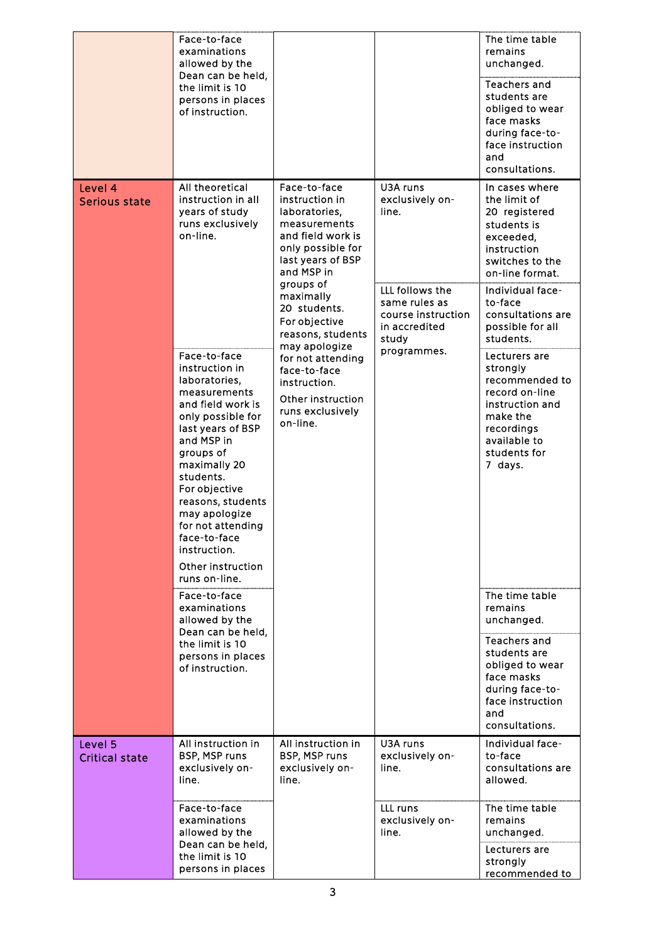|                                  | Face-to-face<br>examinations<br>allowed by the<br>Dean can be held,<br>the limit is 10<br>persons in places<br>of instruction.                                                                                                                                                                                                                                                                                                                                                                                                                                        |                                                                                                                                                                                                                                                                                                                                                         |                                                                                                                                         | The time table<br>remains<br>unchanged.<br><b>Teachers and</b><br>students are<br>obliged to wear<br>face masks<br>during face-to-<br>face instruction<br>and<br>consultations.                                                                                                                                                                                                                                                                                                                                                                                   |
|----------------------------------|-----------------------------------------------------------------------------------------------------------------------------------------------------------------------------------------------------------------------------------------------------------------------------------------------------------------------------------------------------------------------------------------------------------------------------------------------------------------------------------------------------------------------------------------------------------------------|---------------------------------------------------------------------------------------------------------------------------------------------------------------------------------------------------------------------------------------------------------------------------------------------------------------------------------------------------------|-----------------------------------------------------------------------------------------------------------------------------------------|-------------------------------------------------------------------------------------------------------------------------------------------------------------------------------------------------------------------------------------------------------------------------------------------------------------------------------------------------------------------------------------------------------------------------------------------------------------------------------------------------------------------------------------------------------------------|
| Level 4<br>Serious state         | All theoretical<br>instruction in all<br>years of study<br>runs exclusively<br>on-line.<br>Face-to-face<br>instruction in<br>laboratories,<br>measurements<br>and field work is<br>only possible for<br>last years of BSP<br>and MSP in<br>groups of<br>maximally 20<br>students.<br>For objective<br>reasons, students<br>may apologize<br>for not attending<br>face-to-face<br>instruction.<br>Other instruction<br>runs on-line.<br>Face-to-face<br>examinations<br>allowed by the<br>Dean can be held,<br>the limit is 10<br>persons in places<br>of instruction. | Face-to-face<br>instruction in<br>laboratories,<br>measurements<br>and field work is<br>only possible for<br>last years of BSP<br>and MSP in<br>groups of<br>maximally<br>20 students.<br>For objective<br>reasons, students<br>may apologize<br>for not attending<br>face-to-face<br>instruction.<br>Other instruction<br>runs exclusively<br>on-line. | U3A runs<br>exclusively on-<br>line.<br>LLL follows the<br>same rules as<br>course instruction<br>in accredited<br>study<br>programmes. | In cases where<br>the limit of<br>20 registered<br>students is<br>exceeded,<br>instruction<br>switches to the<br>on-line format.<br>Individual face-<br>to-face<br>consultations are<br>possible for all<br>students.<br>Lecturers are<br>strongly<br>recommended to<br>record on-line<br>instruction and<br>make the<br>recordings<br>available to<br>students for<br>7 days.<br>The time table<br>remains<br>unchanged.<br><b>Teachers and</b><br>students are<br>obliged to wear<br>face masks<br>during face-to-<br>face instruction<br>and<br>consultations. |
| Level 5<br><b>Critical state</b> | All instruction in<br>BSP, MSP runs<br>exclusively on-<br>line.                                                                                                                                                                                                                                                                                                                                                                                                                                                                                                       | All instruction in<br>BSP, MSP runs<br>exclusively on-<br>line.                                                                                                                                                                                                                                                                                         | U3A runs<br>exclusively on-<br>line.                                                                                                    | Individual face-<br>to-face<br>consultations are<br>allowed.                                                                                                                                                                                                                                                                                                                                                                                                                                                                                                      |
|                                  | Face-to-face<br>examinations<br>allowed by the<br>Dean can be held,<br>the limit is 10<br>persons in places                                                                                                                                                                                                                                                                                                                                                                                                                                                           |                                                                                                                                                                                                                                                                                                                                                         | LLL runs<br>exclusively on-<br>line.                                                                                                    | The time table<br>remains<br>unchanged.<br>Lecturers are<br>strongly<br>recommended to                                                                                                                                                                                                                                                                                                                                                                                                                                                                            |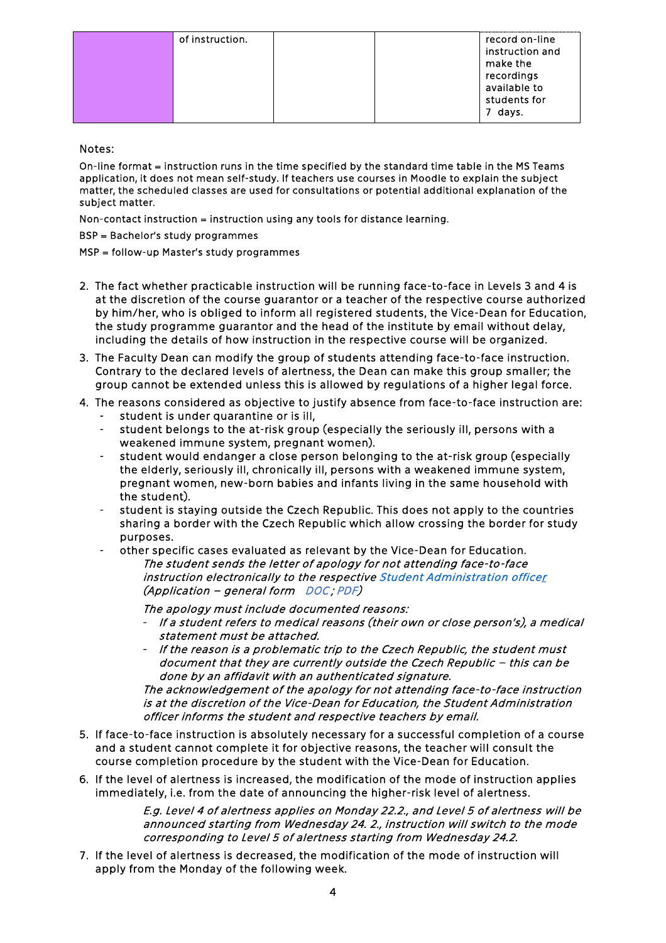| recordings   | of instruction. |
|--------------|-----------------|
| available to | record on-line  |
| students for | instruction and |
| days.        | make the        |

#### Notes:

On-line format = instruction runs in the time specified by the standard time table in the MS Teams application, it does not mean self-study. If teachers use courses in Moodle to explain the subject matter, the scheduled classes are used for consultations or potential additional explanation of the subject matter.

Non-contact instruction = instruction using any tools for distance learning.

BSP = Bachelor's study programmes

MSP = follow-up Master's study programmes

- 2. The fact whether practicable instruction will be running face-to-face in Levels 3 and 4 is at the discretion of the course guarantor or a teacher of the respective course authorized by him/her, who is obliged to inform all registered students, the Vice-Dean for Education, the study programme guarantor and the head of the institute by email without delay, including the details of how instruction in the respective course will be organized.
- 3. The Faculty Dean can modify the group of students attending face-to-face instruction. Contrary to the declared levels of alertness, the Dean can make this group smaller; the group cannot be extended unless this is allowed by regulations of a higher legal force.
- 4. The reasons considered as objective to justify absence from face-to-face instruction are:
	- student is under quarantine or is ill,
	- student belongs to the at-risk group (especially the seriously ill, persons with a weakened immune system, pregnant women).
	- student would endanger a close person belonging to the at-risk group (especially the elderly, seriously ill, chronically ill, persons with a weakened immune system, pregnant women, new-born babies and infants living in the same household with the student).
	- student is staying outside the Czech Republic. This does not apply to the countries sharing a border with the Czech Republic which allow crossing the border for study purposes.
	- other specific cases evaluated as relevant by the Vice-Dean for Education.

The student sends the letter of apology for not attending face-to-face instruction electronically to the respective [Student Administration officer](https://www.fsv.cvut.cz/hlavni/educat/referentky.php)  (Application – general form [DOC](https://www.fsv.cvut.cz/en/hlavni/educat/ozadosta.doc) ; [PDF\)](https://www.fsv.cvut.cz/en/hlavni/educat/ozadosta.pdf)

The apology must include documented reasons:

- If a student refers to medical reasons (their own or close person's), a medical statement must be attached.
- If the reason is a problematic trip to the Czech Republic, the student must document that they are currently outside the Czech Republic – this can be done by an affidavit with an authenticated signature.

The acknowledgement of the apology for not attending face-to-face instruction is at the discretion of the Vice-Dean for Education, the Student Administration officer informs the student and respective teachers by email.

- 5. If face-to-face instruction is absolutely necessary for a successful completion of a course and a student cannot complete it for objective reasons, the teacher will consult the course completion procedure by the student with the Vice-Dean for Education.
- 6. If the level of alertness is increased, the modification of the mode of instruction applies immediately, i.e. from the date of announcing the higher-risk level of alertness.

E.g. Level 4 of alertness applies on Monday 22.2., and Level 5 of alertness will be announced starting from Wednesday 24. 2., instruction will switch to the mode corresponding to Level 5 of alertness starting from Wednesday 24.2.

7. If the level of alertness is decreased, the modification of the mode of instruction will apply from the Monday of the following week.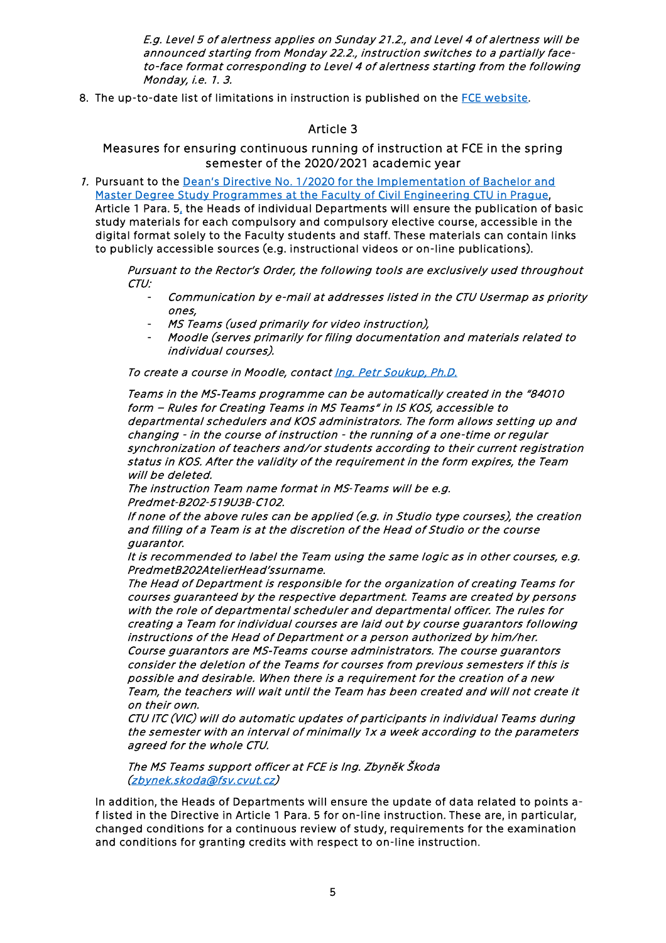E.g. Level 5 of alertness applies on Sunday 21.2., and Level 4 of alertness will be announced starting from Monday 22.2., instruction switches to a partially faceto-face format corresponding to Level 4 of alertness starting from the following Monday, i.e. 1. 3.

8. The up-to-date list of limitations in instruction is published on the [FCE website.](https://www.fsv.cvut.cz/en/hlavni/vir.php)

## Article 3

Measures for ensuring continuous running of instruction at FCE in the spring semester of the 2020/2021 academic year

1. Pursuant to the [Dean's Directive No. 1/2020 for the Implementation of Bachelor and](https://www.fsv.cvut.cz/en/legislat/smde0120e.php)  [Master Degree Study Programmes at the Faculty of Civil Engineering CTU in Prague,](https://www.fsv.cvut.cz/en/legislat/smde0120e.php)  Article 1 Para. 5, the Heads of individual Departments will ensure the publication of basic study materials for each compulsory and compulsory elective course, accessible in the digital format solely to the Faculty students and staff. These materials can contain links to publicly accessible sources (e.g. instructional videos or on-line publications).

Pursuant to the Rector's Order, the following tools are exclusively used throughout CTU:

- Communication by e-mail at addresses listed in the CTU Usermap as priority ones,
- MS Teams (used primarily for video instruction),
- Moodle (serves primarily for filing documentation and materials related to individual courses).

To create a course in Moodle, contact Ing. Petr Soukup, Ph.D.

Teams in the MS‐Teams programme can be automatically created in the "84010 form – Rules for Creating Teams in MS Teams" in IS KOS, accessible to departmental schedulers and KOS administrators. The form allows setting up and changing - in the course of instruction - the running of a one-time or regular synchronization of teachers and/or students according to their current registration status in KOS. After the validity of the requirement in the form expires, the Team will be deleted.

The instruction Team name format in MS‐Teams will be e.g. Predmet‐B202‐519U3B‐C102.

If none of the above rules can be applied (e.g. in Studio type courses), the creation and filling of a Team is at the discretion of the Head of Studio or the course guarantor.

It is recommended to label the Team using the same logic as in other courses, e.g. PredmetB202AtelierHead'ssurname.

The Head of Department is responsible for the organization of creating Teams for courses guaranteed by the respective department. Teams are created by persons with the role of departmental scheduler and departmental officer. The rules for creating a Team for individual courses are laid out by course guarantors following instructions of the Head of Department or a person authorized by him/her. Course guarantors are MS‐Teams course administrators. The course guarantors consider the deletion of the Teams for courses from previous semesters if this is possible and desirable. When there is a requirement for the creation of a new Team, the teachers will wait until the Team has been created and will not create it on their own.

CTU ITC (VIC) will do automatic updates of participants in individual Teams during the semester with an interval of minimally 1x a week according to the parameters agreed for the whole CTU.

The MS Teams support officer at FCE is Ing. Zbyněk Škoda [\(zbynek.skoda@fsv.cvut.cz\)](mailto:zbynek.skoda@fsv.cvut.cz)

In addition, the Heads of Departments will ensure the update of data related to points af listed in the Directive in Article 1 Para. 5 for on-line instruction. These are, in particular, changed conditions for a continuous review of study, requirements for the examination and conditions for granting credits with respect to on-line instruction.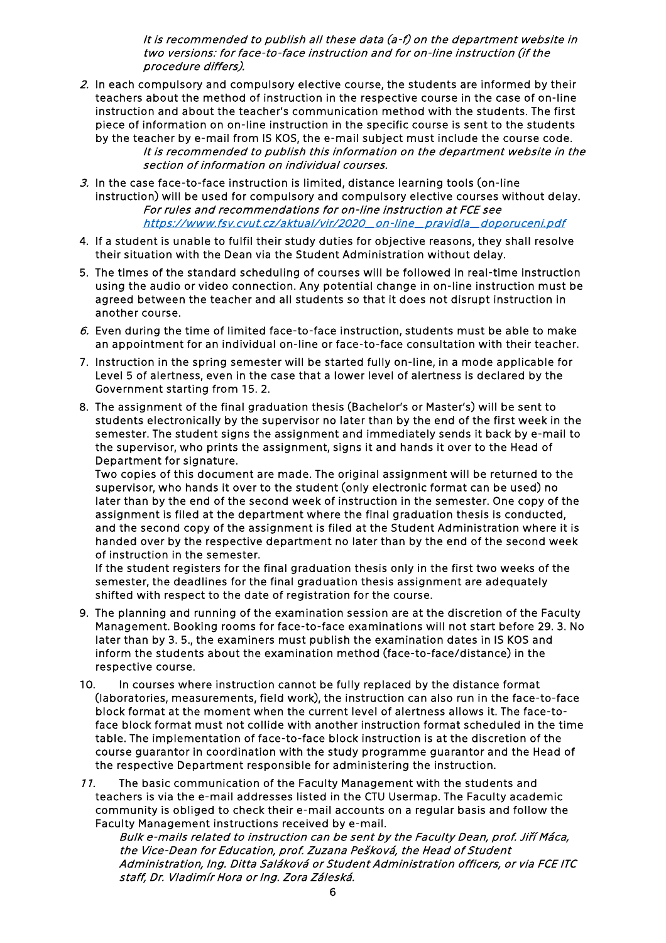It is recommended to publish all these data (a-f) on the department website in two versions: for face-to-face instruction and for on-line instruction (if the procedure differs).

- 2. In each compulsory and compulsory elective course, the students are informed by their teachers about the method of instruction in the respective course in the case of on-line instruction and about the teacher's communication method with the students. The first piece of information on on-line instruction in the specific course is sent to the students
	- by the teacher by e-mail from IS KOS, the e-mail subject must include the course code. It is recommended to publish this information on the department website in the section of information on individual courses.
- 3. In the case face-to-face instruction is limited, distance learning tools (on-line instruction) will be used for compulsory and compulsory elective courses without delay. For rules and recommendations for on-line instruction at FCE see [https://www.fsv.cvut.cz/aktual/vir/2020\\_on-line\\_pravidla\\_doporuceni.pdf](https://www.fsv.cvut.cz/aktual/vir/2020_on-line_pravidla_doporuceni.pdf)
- 4. If a student is unable to fulfil their study duties for objective reasons, they shall resolve their situation with the Dean via the Student Administration without delay.
- 5. The times of the standard scheduling of courses will be followed in real-time instruction using the audio or video connection. Any potential change in on-line instruction must be agreed between the teacher and all students so that it does not disrupt instruction in another course.
- 6. Even during the time of limited face-to-face instruction, students must be able to make an appointment for an individual on-line or face-to-face consultation with their teacher.
- 7. Instruction in the spring semester will be started fully on-line, in a mode applicable for Level 5 of alertness, even in the case that a lower level of alertness is declared by the Government starting from 15. 2.
- 8. The assignment of the final graduation thesis (Bachelor's or Master's) will be sent to students electronically by the supervisor no later than by the end of the first week in the semester. The student signs the assignment and immediately sends it back by e-mail to the supervisor, who prints the assignment, signs it and hands it over to the Head of Department for signature.

Two copies of this document are made. The original assignment will be returned to the supervisor, who hands it over to the student (only electronic format can be used) no later than by the end of the second week of instruction in the semester. One copy of the assignment is filed at the department where the final graduation thesis is conducted, and the second copy of the assignment is filed at the Student Administration where it is handed over by the respective department no later than by the end of the second week of instruction in the semester.

If the student registers for the final graduation thesis only in the first two weeks of the semester, the deadlines for the final graduation thesis assignment are adequately shifted with respect to the date of registration for the course.

- 9. The planning and running of the examination session are at the discretion of the Faculty Management. Booking rooms for face-to-face examinations will not start before 29. 3. No later than by 3. 5., the examiners must publish the examination dates in IS KOS and inform the students about the examination method (face-to-face/distance) in the respective course.
- 10. In courses where instruction cannot be fully replaced by the distance format (laboratories, measurements, field work), the instruction can also run in the face-to-face block format at the moment when the current level of alertness allows it. The face-toface block format must not collide with another instruction format scheduled in the time table. The implementation of face-to-face block instruction is at the discretion of the course guarantor in coordination with the study programme guarantor and the Head of the respective Department responsible for administering the instruction.
- 11. The basic communication of the Faculty Management with the students and teachers is via the e-mail addresses listed in the CTU Usermap. The Faculty academic community is obliged to check their e-mail accounts on a regular basis and follow the Faculty Management instructions received by e-mail.

Bulk e-mails related to instruction can be sent by the Faculty Dean, prof. Jiří Máca, the Vice-Dean for Education, prof. Zuzana Pešková, the Head of Student Administration, Ing. Ditta Saláková or Student Administration officers, or via FCE ITC staff, Dr. Vladimír Hora or Ing. Zora Záleská.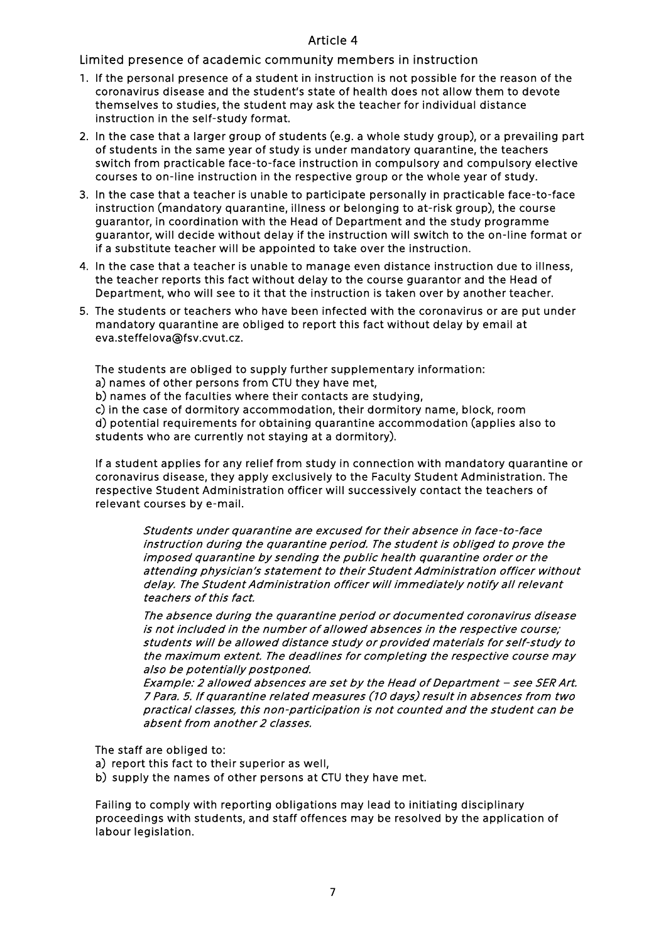#### Article 4

Limited presence of academic community members in instruction

- 1. If the personal presence of a student in instruction is not possible for the reason of the coronavirus disease and the student's state of health does not allow them to devote themselves to studies, the student may ask the teacher for individual distance instruction in the self-study format.
- 2. In the case that a larger group of students (e.g. a whole study group), or a prevailing part of students in the same year of study is under mandatory quarantine, the teachers switch from practicable face-to-face instruction in compulsory and compulsory elective courses to on-line instruction in the respective group or the whole year of study.
- 3. In the case that a teacher is unable to participate personally in practicable face-to-face instruction (mandatory quarantine, illness or belonging to at-risk group), the course guarantor, in coordination with the Head of Department and the study programme guarantor, will decide without delay if the instruction will switch to the on-line format or if a substitute teacher will be appointed to take over the instruction.
- 4. In the case that a teacher is unable to manage even distance instruction due to illness, the teacher reports this fact without delay to the course guarantor and the Head of Department, who will see to it that the instruction is taken over by another teacher.
- 5. The students or teachers who have been infected with the coronavirus or are put under mandatory quarantine are obliged to report this fact without delay by email at eva.steffelova@fsv.cvut.cz.

The students are obliged to supply further supplementary information:

a) names of other persons from CTU they have met,

b) names of the faculties where their contacts are studying,

c) in the case of dormitory accommodation, their dormitory name, block, room

d) potential requirements for obtaining quarantine accommodation (applies also to students who are currently not staying at a dormitory).

If a student applies for any relief from study in connection with mandatory quarantine or coronavirus disease, they apply exclusively to the Faculty Student Administration. The respective Student Administration officer will successively contact the teachers of relevant courses by e-mail.

Students under quarantine are excused for their absence in face-to-face instruction during the quarantine period. The student is obliged to prove the imposed quarantine by sending the public health quarantine order or the attending physician's statement to their Student Administration officer without delay. The Student Administration officer will immediately notify all relevant teachers of this fact.

The absence during the quarantine period or documented coronavirus disease is not included in the number of allowed absences in the respective course; students will be allowed distance study or provided materials for self-study to the maximum extent. The deadlines for completing the respective course may also be potentially postponed.

Example: 2 allowed absences are set by the Head of Department – see SER Art. 7 Para. 5. If quarantine related measures (10 days) result in absences from two practical classes, this non-participation is not counted and the student can be absent from another 2 classes.

The staff are obliged to:

a) report this fact to their superior as well,

b) supply the names of other persons at CTU they have met.

Failing to comply with reporting obligations may lead to initiating disciplinary proceedings with students, and staff offences may be resolved by the application of labour legislation.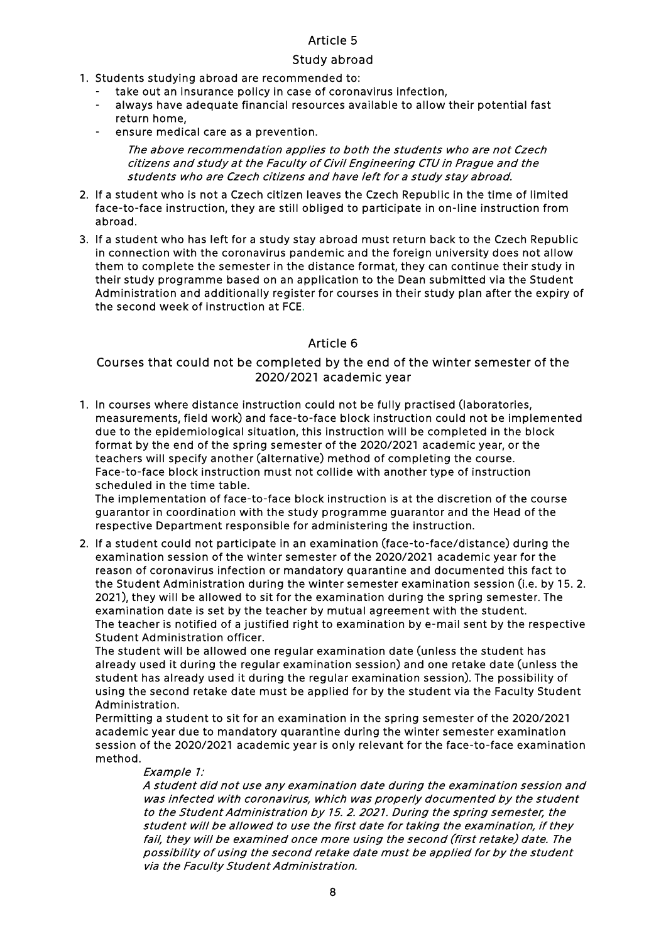## Article 5

## Study abroad

- 1. Students studying abroad are recommended to:
	- take out an insurance policy in case of coronavirus infection,
	- always have adequate financial resources available to allow their potential fast return home,
	- ensure medical care as a prevention.

The above recommendation applies to both the students who are not Czech citizens and study at the Faculty of Civil Engineering CTU in Prague and the students who are Czech citizens and have left for a study stay abroad.

- 2. If a student who is not a Czech citizen leaves the Czech Republic in the time of limited face-to-face instruction, they are still obliged to participate in on-line instruction from abroad.
- 3. If a student who has left for a study stay abroad must return back to the Czech Republic in connection with the coronavirus pandemic and the foreign university does not allow them to complete the semester in the distance format, they can continue their study in their study programme based on an application to the Dean submitted via the Student Administration and additionally register for courses in their study plan after the expiry of the second week of instruction at FCE.

### Article 6

### Courses that could not be completed by the end of the winter semester of the 2020/2021 academic year

1. In courses where distance instruction could not be fully practised (laboratories, measurements, field work) and face-to-face block instruction could not be implemented due to the epidemiological situation, this instruction will be completed in the block format by the end of the spring semester of the 2020/2021 academic year, or the teachers will specify another (alternative) method of completing the course. Face-to-face block instruction must not collide with another type of instruction scheduled in the time table.

The implementation of face-to-face block instruction is at the discretion of the course guarantor in coordination with the study programme guarantor and the Head of the respective Department responsible for administering the instruction.

2. If a student could not participate in an examination (face-to-face/distance) during the examination session of the winter semester of the 2020/2021 academic year for the reason of coronavirus infection or mandatory quarantine and documented this fact to the Student Administration during the winter semester examination session (i.e. by 15. 2. 2021), they will be allowed to sit for the examination during the spring semester. The examination date is set by the teacher by mutual agreement with the student. The teacher is notified of a justified right to examination by e-mail sent by the respective Student Administration officer.

The student will be allowed one regular examination date (unless the student has already used it during the regular examination session) and one retake date (unless the student has already used it during the regular examination session). The possibility of using the second retake date must be applied for by the student via the Faculty Student Administration.

Permitting a student to sit for an examination in the spring semester of the 2020/2021 academic year due to mandatory quarantine during the winter semester examination session of the 2020/2021 academic year is only relevant for the face-to-face examination method.

#### Example 1:

A student did not use any examination date during the examination session and was infected with coronavirus, which was properly documented by the student to the Student Administration by 15. 2. 2021. During the spring semester, the student will be allowed to use the first date for taking the examination, if they fail, they will be examined once more using the second (first retake) date. The possibility of using the second retake date must be applied for by the student via the Faculty Student Administration.